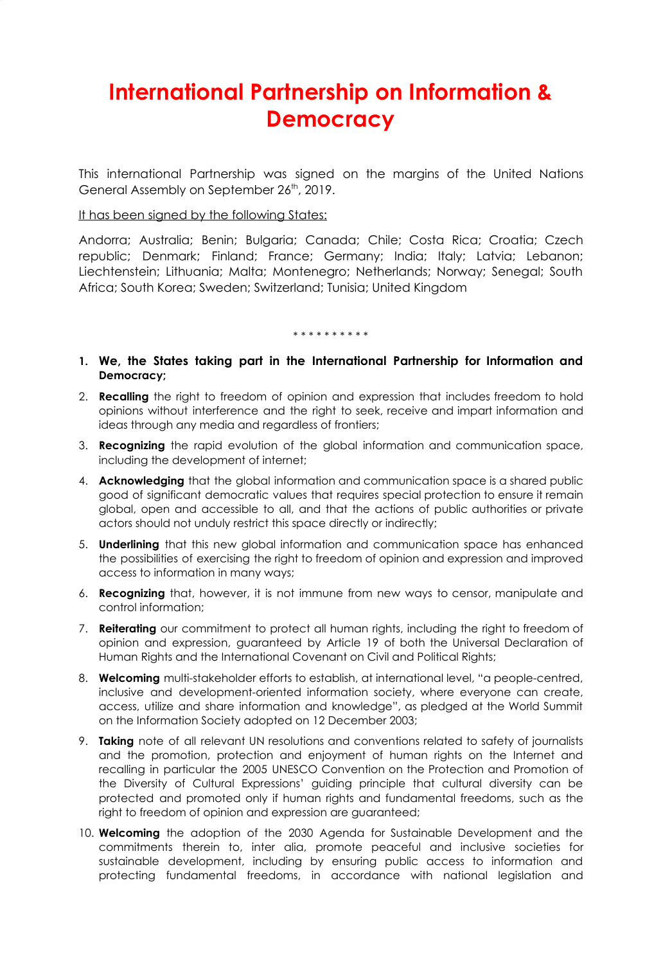# **International Partnership on Information & Democracy**

This international Partnership was signed on the margins of the United Nations General Assembly on September 26<sup>th</sup>, 2019.

# It has been signed by the following States:

Andorra; Australia; Benin; Bulgaria; Canada; Chile; Costa Rica; Croatia; Czech republic; Denmark; Finland; France; Germany; India; Italy; Latvia; Lebanon; Liechtenstein; Lithuania; Malta; Montenegro; Netherlands; Norway; Senegal; South Africa; South Korea; Sweden; Switzerland; Tunisia; United Kingdom

#### \* \* \* \* \* \* \* \* \*

- **1. We, the States taking part in the International Partnership for Information and Democracy;**
- 2. **Recalling** the right to freedom of opinion and expression that includes freedom to hold opinions without interference and the right to seek, receive and impart information and ideas through any media and regardless of frontiers;
- 3. **Recognizing** the rapid evolution of the global information and communication space, including the development of internet;
- 4. **Acknowledging** that the global information and communication space is a shared public good of significant democratic values that requires special protection to ensure it remain global, open and accessible to all, and that the actions of public authorities or private actors should not unduly restrict this space directly or indirectly;
- 5. **Underlining** that this new global information and communication space has enhanced the possibilities of exercising the right to freedom of opinion and expression and improved access to information in many ways;
- 6. **Recognizing** that, however, it is not immune from new ways to censor, manipulate and control information;
- 7. **Reiterating** our commitment to protect all human rights, including the right to freedom of opinion and expression, guaranteed by Article 19 of both the Universal Declaration of Human Rights and the International Covenant on Civil and Political Rights;
- 8. **Welcoming** multi-stakeholder efforts to establish, at international level, "a people-centred, inclusive and development-oriented information society, where everyone can create, access, utilize and share information and knowledge", as pledged at the World Summit on the Information Society adopted on 12 December 2003;
- 9. **Taking** note of all relevant UN resolutions and conventions related to safety of journalists and the promotion, protection and enjoyment of human rights on the Internet and recalling in particular the 2005 UNESCO Convention on the Protection and Promotion of the Diversity of Cultural Expressions' guiding principle that cultural diversity can be protected and promoted only if human rights and fundamental freedoms, such as the right to freedom of opinion and expression are guaranteed;
- 10. **Welcoming** the adoption of the 2030 Agenda for Sustainable Development and the commitments therein to, inter alia, promote peaceful and inclusive societies for sustainable development, including by ensuring public access to information and protecting fundamental freedoms, in accordance with national legislation and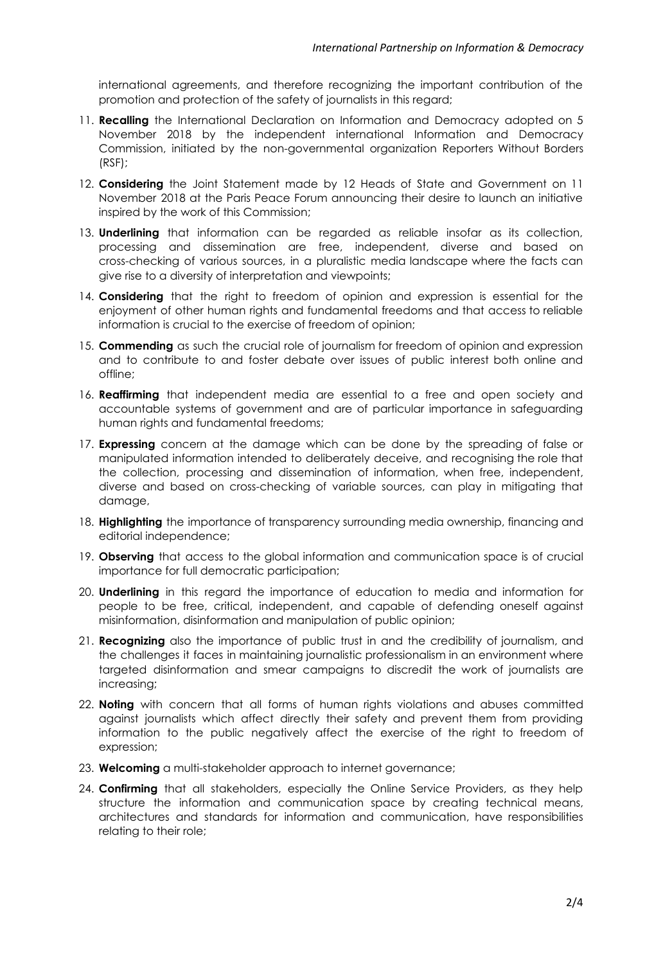international agreements, and therefore recognizing the important contribution of the promotion and protection of the safety of journalists in this regard;

- 11. **Recalling** the International Declaration on Information and Democracy adopted on 5 November 2018 by the independent international Information and Democracy Commission, initiated by the non-governmental organization Reporters Without Borders (RSF);
- 12. **Considering** the Joint Statement made by 12 Heads of State and Government on 11 November 2018 at the Paris Peace Forum announcing their desire to launch an initiative inspired by the work of this Commission;
- 13. **Underlining** that information can be regarded as reliable insofar as its collection, processing and dissemination are free, independent, diverse and based on cross-checking of various sources, in a pluralistic media landscape where the facts can give rise to a diversity of interpretation and viewpoints;
- 14. **Considering** that the right to freedom of opinion and expression is essential for the enjoyment of other human rights and fundamental freedoms and that access to reliable information is crucial to the exercise of freedom of opinion;
- 15. **Commending** as such the crucial role of journalism for freedom of opinion and expression and to contribute to and foster debate over issues of public interest both online and offline;
- 16. **Reaffirming** that independent media are essential to a free and open society and accountable systems of government and are of particular importance in safeguarding human rights and fundamental freedoms;
- 17. **Expressing** concern at the damage which can be done by the spreading of false or manipulated information intended to deliberately deceive, and recognising the role that the collection, processing and dissemination of information, when free, independent, diverse and based on cross-checking of variable sources, can play in mitigating that damage,
- 18. **Highlighting** the importance of transparency surrounding media ownership, financing and editorial independence;
- 19. **Observing** that access to the global information and communication space is of crucial importance for full democratic participation;
- 20. **Underlining** in this regard the importance of education to media and information for people to be free, critical, independent, and capable of defending oneself against misinformation, disinformation and manipulation of public opinion;
- 21. **Recognizing** also the importance of public trust in and the credibility of journalism, and the challenges it faces in maintaining journalistic professionalism in an environment where targeted disinformation and smear campaigns to discredit the work of journalists are increasing;
- 22. **Noting** with concern that all forms of human rights violations and abuses committed against journalists which affect directly their safety and prevent them from providing information to the public negatively affect the exercise of the right to freedom of expression;
- 23. **Welcoming** a multi-stakeholder approach to internet governance;
- 24. **Confirming** that all stakeholders, especially the Online Service Providers, as they help structure the information and communication space by creating technical means, architectures and standards for information and communication, have responsibilities relating to their role;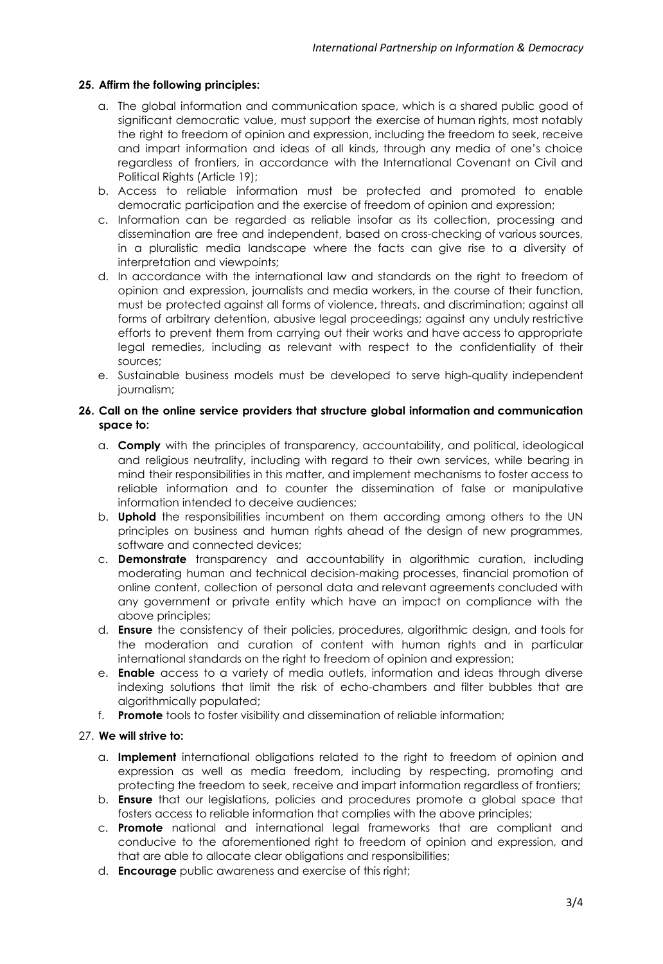# **25. Affirm the following principles:**

- a. The global information and communication space, which is a shared public good of significant democratic value, must support the exercise of human rights, most notably the right to freedom of opinion and expression, including the freedom to seek, receive and impart information and ideas of all kinds, through any media of one's choice regardless of frontiers, in accordance with the International Covenant on Civil and Political Rights (Article 19);
- b. Access to reliable information must be protected and promoted to enable democratic participation and the exercise of freedom of opinion and expression;
- c. Information can be regarded as reliable insofar as its collection, processing and dissemination are free and independent, based on cross-checking of various sources, in a pluralistic media landscape where the facts can give rise to a diversity of interpretation and viewpoints;
- d. In accordance with the international law and standards on the right to freedom of opinion and expression, journalists and media workers, in the course of their function, must be protected against all forms of violence, threats, and discrimination; against all forms of arbitrary detention, abusive legal proceedings; against any unduly restrictive efforts to prevent them from carrying out their works and have access to appropriate legal remedies, including as relevant with respect to the confidentiality of their sources;
- e. Sustainable business models must be developed to serve high-quality independent journalism;

## **26. Call on the online service providers that structure global information and communication space to:**

- a. **Comply** with the principles of transparency, accountability, and political, ideological and religious neutrality, including with regard to their own services, while bearing in mind their responsibilities in this matter, and implement mechanisms to foster access to reliable information and to counter the dissemination of false or manipulative information intended to deceive audiences;
- b. **Uphold** the responsibilities incumbent on them according among others to the UN principles on business and human rights ahead of the design of new programmes, software and connected devices;
- c. **Demonstrate** transparency and accountability in algorithmic curation, including moderating human and technical decision-making processes, financial promotion of online content, collection of personal data and relevant agreements concluded with any government or private entity which have an impact on compliance with the above principles;
- d. **Ensure** the consistency of their policies, procedures, algorithmic design, and tools for the moderation and curation of content with human rights and in particular international standards on the right to freedom of opinion and expression;
- e. **Enable** access to a variety of media outlets, information and ideas through diverse indexing solutions that limit the risk of echo-chambers and filter bubbles that are algorithmically populated;
- f. **Promote** tools to foster visibility and dissemination of reliable information;

## 27. **We will strive to:**

- a. **Implement** international obligations related to the right to freedom of opinion and expression as well as media freedom, including by respecting, promoting and protecting the freedom to seek, receive and impart information regardless of frontiers;
- b. **Ensure** that our legislations, policies and procedures promote a global space that fosters access to reliable information that complies with the above principles;
- c. **Promote** national and international legal frameworks that are compliant and conducive to the aforementioned right to freedom of opinion and expression, and that are able to allocate clear obligations and responsibilities;
- d. **Encourage** public awareness and exercise of this right;